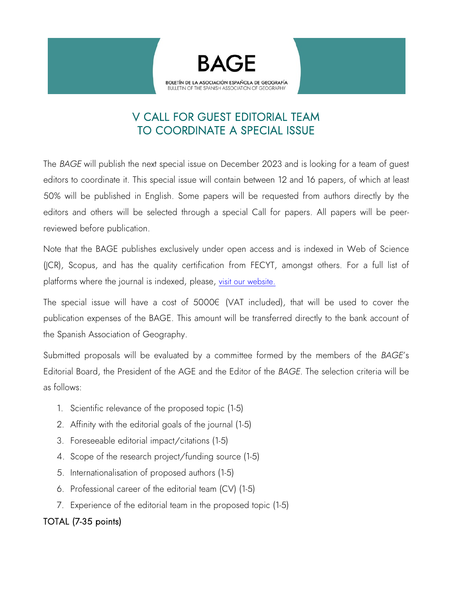

# V CALL FOR GUEST EDITORIAL TEAM TO COORDINATE A SPECIAL ISSUE

 The *BAGE* will publish the next special issue on December 2023 and is looking for a team of guest editors to coordinate it. This special issue will contain between 12 and 16 papers, of which at least 50% will be published in English. Some papers will be requested from authors directly by the editors and others will be selected through a special Call for papers. All papers will be peerreviewed before publication.

Note that the BAGE publishes exclusively under open access and is indexed in Web of Science (JCR), Scopus, and has the quality certification from FECYT, amongst others. For a full list of platforms where the journal is indexed, please, [visit our website.](https://bage.age-geografia.es/ojs/index.php/bage/indexing)

The special issue will have a cost of 5000€ (VAT included), that will be used to cover the publication expenses of the BAGE. This amount will be transferred directly to the bank account of the Spanish Association of Geography.

Submitted proposals will be evaluated by a committee formed by the members of the *BAGE*'s Editorial Board, the President of the AGE and the Editor of the *BAGE*. The selection criteria will be as follows:

- 1. Scientific relevance of the proposed topic (1-5)
- 2. Affinity with the editorial goals of the journal (1-5)
- 3. Foreseeable editorial impact/citations (1-5)
- 4. Scope of the research project/funding source (1-5)
- 5. Internationalisation of proposed authors (1-5)
- 6. Professional career of the editorial team (CV) (1-5)
- 7. Experience of the editorial team in the proposed topic (1-5)

### TOTAL (7-35 points)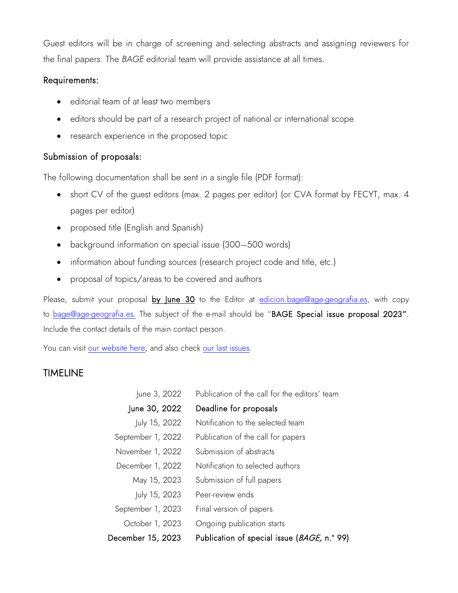Guest editors will be in charge of screening and selecting abstracts and assigning reviewers for the final papers. The *BAGE* editorial team will provide assistance at all times.

### Requirements:

- editorial team of at least two members
- editors should be part of a research project of national or international scope
- research experience in the proposed topic

### Submission of proposals:

The following documentation shall be sent in a single file (PDF format):

- short CV of the guest editors (max. 2 pages per editor) (or CVA format by FECYT, max. 4 pages per editor)
- proposed title (English and Spanish)
- background information on special issue (300–500 words)
- information about funding sources (research project code and title, etc.)
- proposal of topics/areas to be covered and authors

Please, submit your proposal by June 30 to the Editor at edicion.bage@age-geografia.es, with copy to [bage@age-geografia.es.](mailto:bage@age-geografia.es) The subject of the e-mail should be "BAGE Special issue proposal 2023". Include the contact details of the main contact person.

You can visit [our website here,](http://www.age-geografia.es/ojs/index.php/bage) and also check [our last issues.](http://www.age-geografia.es/ojs/index.php/bage/issue/archive)

## TIMELINE

| June 3, 2022      | Publication of the call for the editors' team       |
|-------------------|-----------------------------------------------------|
| June 30, 2022     | Deadline for proposals                              |
| July 15, 2022     | Notification to the selected team                   |
| September 1, 2022 | Publication of the call for papers                  |
| November 1, 2022  | Submission of abstracts                             |
| December 1, 2022  | Notification to selected authors                    |
| May 15, 2023      | Submission of full papers                           |
| July 15, 2023     | Peer-review ends                                    |
| September 1, 2023 | Final version of papers                             |
| October 1, 2023   | Ongoing publication starts                          |
| December 15, 2023 | Publication of special issue ( <i>BAGE,</i> n.º 99) |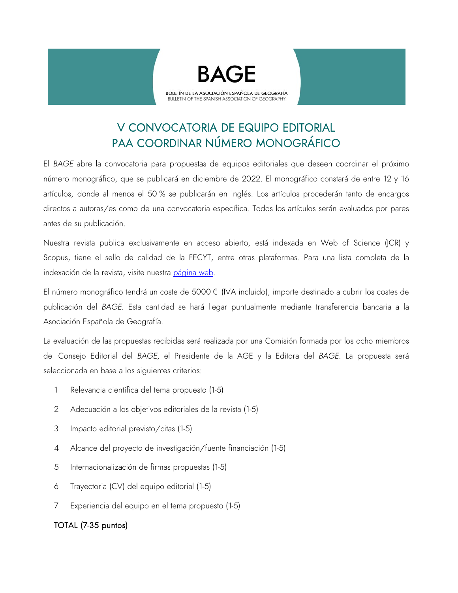



# V CONVOCATORIA DE EQUIPO EDITORIAL PAA COORDINAR NÚMERO MONOGRÁFICO

El *BAGE* abre la convocatoria para propuestas de equipos editoriales que deseen coordinar el próximo número monográfico, que se publicará en diciembre de 2022. El monográfico constará de entre 12 y 16 artículos, donde al menos el 50 % se publicarán en inglés. Los artículos procederán tanto de encargos directos a autoras/es como de una convocatoria específica. Todos los artículos serán evaluados por pares antes de su publicación.

Nuestra revista publica exclusivamente en acceso abierto, está indexada en Web of Science (JCR) y Scopus, tiene el sello de calidad de la FECYT, entre otras plataformas. Para una lista completa de la indexación de la revista, visite nuestra [página web.](https://bage.age-geografia.es/ojs/index.php/bage/indexing)

El número monográfico tendrá un coste de 5000 € (IVA incluido), importe destinado a cubrir los costes de publicación del *BAGE*. Esta cantidad se hará llegar puntualmente mediante transferencia bancaria a la Asociación Española de Geografía.

La evaluación de las propuestas recibidas será realizada por una Comisión formada por los ocho miembros del Consejo Editorial del *BAGE*, el Presidente de la AGE y la Editora del *BAGE*. La propuesta será seleccionada en base a los siguientes criterios:

- 1 Relevancia científica del tema propuesto (1-5)
- 2 Adecuación a los objetivos editoriales de la revista (1-5)
- 3 Impacto editorial previsto/citas (1-5)
- 4 Alcance del proyecto de investigación/fuente financiación (1-5)
- 5 Internacionalización de firmas propuestas (1-5)
- 6 Trayectoria (CV) del equipo editorial (1-5)
- 7 Experiencia del equipo en el tema propuesto (1-5)

### TOTAL (7-35 puntos)